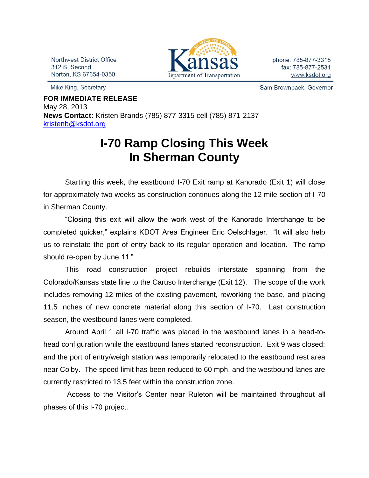Northwest District Office 312 S. Second Norton, KS 67654-0350

Mike King, Secretary



phone: 785-877-3315 fax: 785-877-2531 www.ksdot.org

Sam Brownback, Governor

**FOR IMMEDIATE RELEASE** May 28, 2013 **News Contact:** Kristen Brands (785) 877-3315 cell (785) 871-2137 [kristenb@ksdot.org](mailto:kristenb@ksdot.org)

## **I-70 Ramp Closing This Week In Sherman County**

Starting this week, the eastbound I-70 Exit ramp at Kanorado (Exit 1) will close for approximately two weeks as construction continues along the 12 mile section of I-70 in Sherman County.

"Closing this exit will allow the work west of the Kanorado Interchange to be completed quicker," explains KDOT Area Engineer Eric Oelschlager. "It will also help us to reinstate the port of entry back to its regular operation and location. The ramp should re-open by June 11."

This road construction project rebuilds interstate spanning from the Colorado/Kansas state line to the Caruso Interchange (Exit 12). The scope of the work includes removing 12 miles of the existing pavement, reworking the base, and placing 11.5 inches of new concrete material along this section of I-70. Last construction season, the westbound lanes were completed.

Around April 1 all I-70 traffic was placed in the westbound lanes in a head-tohead configuration while the eastbound lanes started reconstruction. Exit 9 was closed; and the port of entry/weigh station was temporarily relocated to the eastbound rest area near Colby. The speed limit has been reduced to 60 mph, and the westbound lanes are currently restricted to 13.5 feet within the construction zone.

Access to the Visitor's Center near Ruleton will be maintained throughout all phases of this I-70 project.